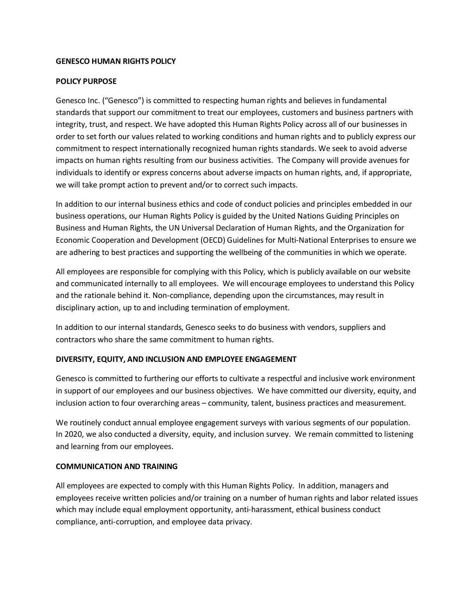### **GENESCO HUMAN RIGHTS POLICY**

# **POLICY PURPOSE**

Genesco Inc. ("Genesco") is committed to respecting human rights and believes in fundamental standards that support our commitment to treat our employees, customers and business partners with integrity, trust, and respect. We have adopted this Human Rights Policy across all of our businesses in order to set forth our values related to working conditions and human rights and to publicly express our commitment to respect internationally recognized human rights standards. We seek to avoid adverse impacts on human rights resulting from our business activities. The Company will provide avenues for individuals to identify or express concerns about adverse impacts on human rights, and, if appropriate, we will take prompt action to prevent and/or to correct such impacts.

In addition to our internal business ethics and code of conduct policies and principles embedded in our business operations, our Human Rights Policy is guided by the United Nations Guiding Principles on Business and Human Rights, the UN Universal Declaration of Human Rights, and the Organization for Economic Cooperation and Development (OECD) Guidelines for Multi-National Enterprises to ensure we are adhering to best practices and supporting the wellbeing of the communities in which we operate.

All employees are responsible for complying with this Policy, which is publicly available on our website and communicated internally to all employees. We will encourage employees to understand this Policy and the rationale behind it. Non-compliance, depending upon the circumstances, may result in disciplinary action, up to and including termination of employment.

In addition to our internal standards, Genesco seeks to do business with vendors, suppliers and contractors who share the same commitment to human rights.

### **DIVERSITY, EQUITY, AND INCLUSION AND EMPLOYEE ENGAGEMENT**

Genesco is committed to furthering our efforts to cultivate a respectful and inclusive work environment in support of our employees and our business objectives. We have committed our diversity, equity, and inclusion action to four overarching areas – community, talent, business practices and measurement.

We routinely conduct annual employee engagement surveys with various segments of our population. In 2020, we also conducted a diversity, equity, and inclusion survey. We remain committed to listening and learning from our employees.

### **COMMUNICATION AND TRAINING**

All employees are expected to comply with this Human Rights Policy. In addition, managers and employees receive written policies and/or training on a number of human rights and labor related issues which may include equal employment opportunity, anti-harassment, ethical business conduct compliance, anti-corruption, and employee data privacy.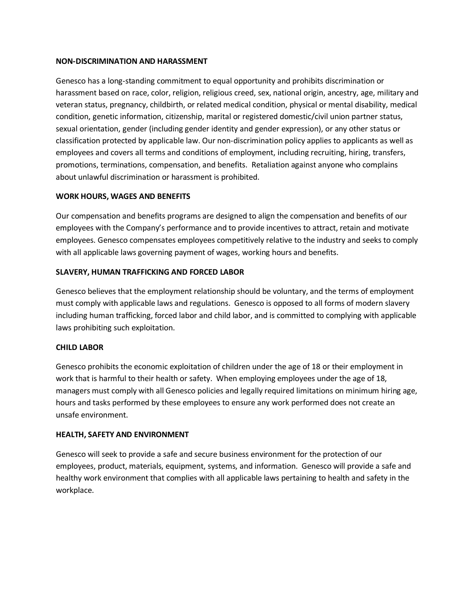#### **NON-DISCRIMINATION AND HARASSMENT**

Genesco has a long-standing commitment to equal opportunity and prohibits discrimination or harassment based on race, color, religion, religious creed, sex, national origin, ancestry, age, military and veteran status, pregnancy, childbirth, or related medical condition, physical or mental disability, medical condition, genetic information, citizenship, marital or registered domestic/civil union partner status, sexual orientation, gender (including gender identity and gender expression), or any other status or classification protected by applicable law. Our non-discrimination policy applies to applicants as well as employees and covers all terms and conditions of employment, including recruiting, hiring, transfers, promotions, terminations, compensation, and benefits. Retaliation against anyone who complains about unlawful discrimination or harassment is prohibited.

### **WORK HOURS, WAGES AND BENEFITS**

Our compensation and benefits programs are designed to align the compensation and benefits of our employees with the Company's performance and to provide incentives to attract, retain and motivate employees. Genesco compensates employees competitively relative to the industry and seeks to comply with all applicable laws governing payment of wages, working hours and benefits.

#### **SLAVERY, HUMAN TRAFFICKING AND FORCED LABOR**

Genesco believes that the employment relationship should be voluntary, and the terms of employment must comply with applicable laws and regulations. Genesco is opposed to all forms of modern slavery including human trafficking, forced labor and child labor, and is committed to complying with applicable laws prohibiting such exploitation.

### **CHILD LABOR**

Genesco prohibits the economic exploitation of children under the age of 18 or their employment in work that is harmful to their health or safety. When employing employees under the age of 18, managers must comply with all Genesco policies and legally required limitations on minimum hiring age, hours and tasks performed by these employees to ensure any work performed does not create an unsafe environment.

### **HEALTH, SAFETY AND ENVIRONMENT**

Genesco will seek to provide a safe and secure business environment for the protection of our employees, product, materials, equipment, systems, and information. Genesco will provide a safe and healthy work environment that complies with all applicable laws pertaining to health and safety in the workplace.